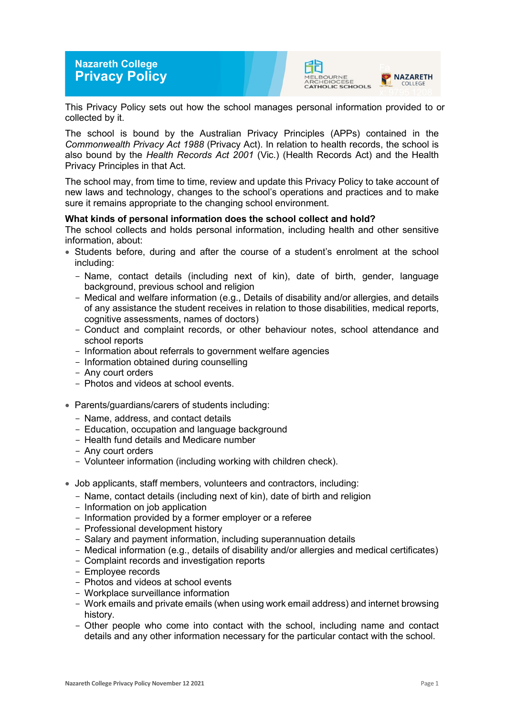# **Nazareth College Privacy Policy**





This Privacy Policy sets out how the school manages personal information provided to or collected by it.

The school is bound by the Australian Privacy Principles (APPs) contained in the *Commonwealth Privacy Act 1988* (Privacy Act). In relation to health records, the school is also bound by the *Health Records Act 2001* (Vic.) (Health Records Act) and the Health Privacy Principles in that Act.

The school may, from time to time, review and update this Privacy Policy to take account of new laws and technology, changes to the school's operations and practices and to make sure it remains appropriate to the changing school environment.

## **What kinds of personal information does the school collect and hold?**

The school collects and holds personal information, including health and other sensitive information, about:

- Students before, during and after the course of a student's enrolment at the school including:
	- Name, contact details (including next of kin), date of birth, gender, language background, previous school and religion
	- Medical and welfare information (e.g., Details of disability and/or allergies, and details of any assistance the student receives in relation to those disabilities, medical reports, cognitive assessments, names of doctors)
	- Conduct and complaint records, or other behaviour notes, school attendance and school reports
	- Information about referrals to government welfare agencies
	- Information obtained during counselling
	- Any court orders
	- Photos and videos at school events.
- Parents/guardians/carers of students including:
	- Name, address, and contact details
	- Education, occupation and language background
	- Health fund details and Medicare number
	- Any court orders
	- Volunteer information (including working with children check).
- Job applicants, staff members, volunteers and contractors, including:
	- Name, contact details (including next of kin), date of birth and religion
	- Information on job application
	- Information provided by a former employer or a referee
	- Professional development history
	- Salary and payment information, including superannuation details
	- Medical information (e.g., details of disability and/or allergies and medical certificates)
	- Complaint records and investigation reports
	- Employee records
	- Photos and videos at school events
	- Workplace surveillance information
	- Work emails and private emails (when using work email address) and internet browsing history.
	- Other people who come into contact with the school, including name and contact details and any other information necessary for the particular contact with the school.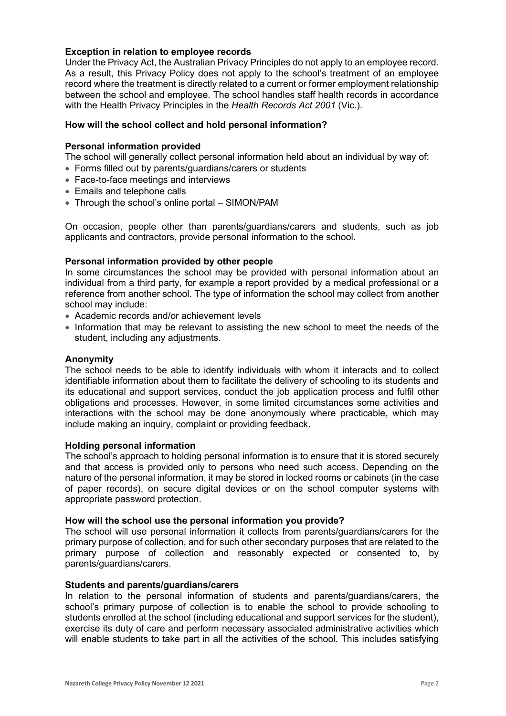## **Exception in relation to employee records**

Under the Privacy Act, the Australian Privacy Principles do not apply to an employee record. As a result, this Privacy Policy does not apply to the school's treatment of an employee record where the treatment is directly related to a current or former employment relationship between the school and employee. The school handles staff health records in accordance with the Health Privacy Principles in the *Health Records Act 2001* (Vic.).

## **How will the school collect and hold personal information?**

#### **Personal information provided**

The school will generally collect personal information held about an individual by way of:

- Forms filled out by parents/guardians/carers or students
- Face-to-face meetings and interviews
- Emails and telephone calls
- Through the school's online portal SIMON/PAM

On occasion, people other than parents/guardians/carers and students, such as job applicants and contractors, provide personal information to the school.

## **Personal information provided by other people**

In some circumstances the school may be provided with personal information about an individual from a third party, for example a report provided by a medical professional or a reference from another school. The type of information the school may collect from another school may include:

- Academic records and/or achievement levels
- Information that may be relevant to assisting the new school to meet the needs of the student, including any adjustments.

#### **Anonymity**

The school needs to be able to identify individuals with whom it interacts and to collect identifiable information about them to facilitate the delivery of schooling to its students and its educational and support services, conduct the job application process and fulfil other obligations and processes. However, in some limited circumstances some activities and interactions with the school may be done anonymously where practicable, which may include making an inquiry, complaint or providing feedback.

#### **Holding personal information**

The school's approach to holding personal information is to ensure that it is stored securely and that access is provided only to persons who need such access. Depending on the nature of the personal information, it may be stored in locked rooms or cabinets (in the case of paper records), on secure digital devices or on the school computer systems with appropriate password protection.

#### **How will the school use the personal information you provide?**

The school will use personal information it collects from parents/guardians/carers for the primary purpose of collection, and for such other secondary purposes that are related to the primary purpose of collection and reasonably expected or consented to, by parents/guardians/carers.

#### **Students and parents/guardians/carers**

In relation to the personal information of students and parents/guardians/carers, the school's primary purpose of collection is to enable the school to provide schooling to students enrolled at the school (including educational and support services for the student), exercise its duty of care and perform necessary associated administrative activities which will enable students to take part in all the activities of the school. This includes satisfying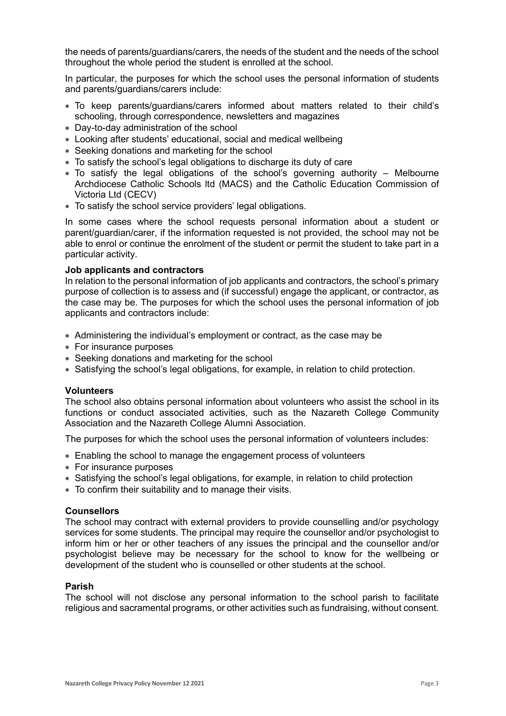the needs of parents/guardians/carers, the needs of the student and the needs of the school throughout the whole period the student is enrolled at the school.

In particular, the purposes for which the school uses the personal information of students and parents/guardians/carers include:

- To keep parents/guardians/carers informed about matters related to their child's schooling, through correspondence, newsletters and magazines
- Day-to-day administration of the school
- Looking after students' educational, social and medical wellbeing
- Seeking donations and marketing for the school
- To satisfy the school's legal obligations to discharge its duty of care
- To satisfy the legal obligations of the school's governing authority Melbourne Archdiocese Catholic Schools ltd (MACS) and the Catholic Education Commission of Victoria Ltd (CECV)
- To satisfy the school service providers' legal obligations.

In some cases where the school requests personal information about a student or parent/guardian/carer, if the information requested is not provided, the school may not be able to enrol or continue the enrolment of the student or permit the student to take part in a particular activity.

#### **Job applicants and contractors**

In relation to the personal information of job applicants and contractors, the school's primary purpose of collection is to assess and (if successful) engage the applicant, or contractor, as the case may be. The purposes for which the school uses the personal information of job applicants and contractors include:

- Administering the individual's employment or contract, as the case may be
- For insurance purposes
- Seeking donations and marketing for the school
- Satisfying the school's legal obligations, for example, in relation to child protection.

#### **Volunteers**

The school also obtains personal information about volunteers who assist the school in its functions or conduct associated activities, such as the Nazareth College Community Association and the Nazareth College Alumni Association.

The purposes for which the school uses the personal information of volunteers includes:

- Enabling the school to manage the engagement process of volunteers
- For insurance purposes
- Satisfying the school's legal obligations, for example, in relation to child protection
- To confirm their suitability and to manage their visits.

#### **Counsellors**

The school may contract with external providers to provide counselling and/or psychology services for some students. The principal may require the counsellor and/or psychologist to inform him or her or other teachers of any issues the principal and the counsellor and/or psychologist believe may be necessary for the school to know for the wellbeing or development of the student who is counselled or other students at the school.

#### **Parish**

The school will not disclose any personal information to the school parish to facilitate religious and sacramental programs, or other activities such as fundraising, without consent.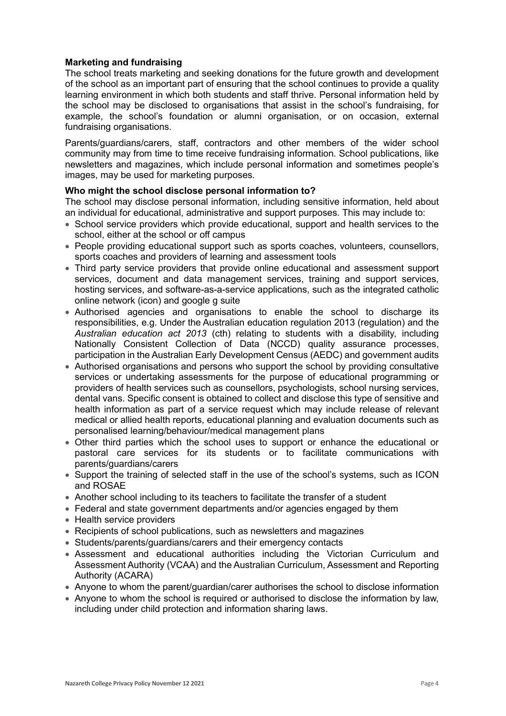# **Marketing and fundraising**

The school treats marketing and seeking donations for the future growth and development of the school as an important part of ensuring that the school continues to provide a quality learning environment in which both students and staff thrive. Personal information held by the school may be disclosed to organisations that assist in the school's fundraising, for example, the school's foundation or alumni organisation, or on occasion, external fundraising organisations.

Parents/guardians/carers, staff, contractors and other members of the wider school community may from time to time receive fundraising information. School publications, like newsletters and magazines, which include personal information and sometimes people's images, may be used for marketing purposes.

## **Who might the school disclose personal information to?**

The school may disclose personal information, including sensitive information, held about an individual for educational, administrative and support purposes. This may include to:

- School service providers which provide educational, support and health services to the school, either at the school or off campus
- People providing educational support such as sports coaches, volunteers, counsellors, sports coaches and providers of learning and assessment tools
- Third party service providers that provide online educational and assessment support services, document and data management services, training and support services, hosting services, and software-as-a-service applications, such as the integrated catholic online network (icon) and google g suite
- Authorised agencies and organisations to enable the school to discharge its responsibilities, e.g. Under the Australian education regulation 2013 (regulation) and the *Australian education act 2013* (cth) relating to students with a disability, including Nationally Consistent Collection of Data (NCCD) quality assurance processes, participation in the Australian Early Development Census (AEDC) and government audits
- Authorised organisations and persons who support the school by providing consultative services or undertaking assessments for the purpose of educational programming or providers of health services such as counsellors, psychologists, school nursing services, dental vans. Specific consent is obtained to collect and disclose this type of sensitive and health information as part of a service request which may include release of relevant medical or allied health reports, educational planning and evaluation documents such as personalised learning/behaviour/medical management plans
- Other third parties which the school uses to support or enhance the educational or pastoral care services for its students or to facilitate communications with parents/guardians/carers
- Support the training of selected staff in the use of the school's systems, such as ICON and ROSAE
- Another school including to its teachers to facilitate the transfer of a student
- Federal and state government departments and/or agencies engaged by them
- Health service providers
- Recipients of school publications, such as newsletters and magazines
- Students/parents/guardians/carers and their emergency contacts
- Assessment and educational authorities including the Victorian Curriculum and Assessment Authority (VCAA) and the Australian Curriculum, Assessment and Reporting Authority (ACARA)
- Anyone to whom the parent/guardian/carer authorises the school to disclose information
- Anyone to whom the school is required or authorised to disclose the information by law, including under child protection and information sharing laws.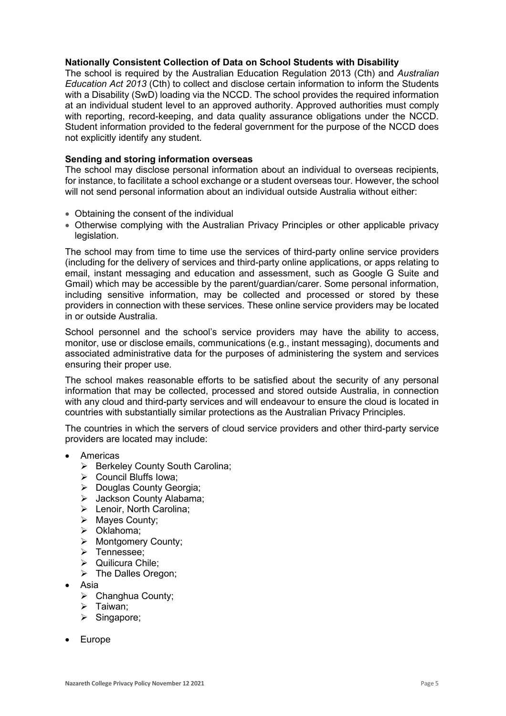## **Nationally Consistent Collection of Data on School Students with Disability**

The school is required by the Australian Education Regulation 2013 (Cth) and *Australian Education Act 2013* (Cth) to collect and disclose certain information to inform the Students with a Disability (SwD) loading via the NCCD. The school provides the required information at an individual student level to an approved authority. Approved authorities must comply with reporting, record-keeping, and data quality assurance obligations under the NCCD. Student information provided to the federal government for the purpose of the NCCD does not explicitly identify any student.

## **Sending and storing information overseas**

The school may disclose personal information about an individual to overseas recipients, for instance, to facilitate a school exchange or a student overseas tour. However, the school will not send personal information about an individual outside Australia without either:

- Obtaining the consent of the individual
- Otherwise complying with the Australian Privacy Principles or other applicable privacy legislation.

The school may from time to time use the services of third-party online service providers (including for the delivery of services and third-party online applications, or apps relating to email, instant messaging and education and assessment, such as Google G Suite and Gmail) which may be accessible by the parent/guardian/carer. Some personal information, including sensitive information, may be collected and processed or stored by these providers in connection with these services. These online service providers may be located in or outside Australia.

School personnel and the school's service providers may have the ability to access, monitor, use or disclose emails, communications (e.g., instant messaging), documents and associated administrative data for the purposes of administering the system and services ensuring their proper use.

The school makes reasonable efforts to be satisfied about the security of any personal information that may be collected, processed and stored outside Australia, in connection with any cloud and third-party services and will endeavour to ensure the cloud is located in countries with substantially similar protections as the Australian Privacy Principles.

The countries in which the servers of cloud service providers and other third-party service providers are located may include:

- **Americas** 
	- $\triangleright$  Berkeley County South Carolina;
	- $\triangleright$  Council Bluffs Iowa;
	- ▶ Douglas County Georgia;
	- > Jackson County Alabama:
	- > Lenoir, North Carolina;
	- $\triangleright$  Mayes County;
	- > Oklahoma;
	- > Montgomery County:
	- > Tennessee:
	- ▶ Quilicura Chile;
	- $\triangleright$  The Dalles Oregon;
- Asia
	- Changhua County;
	- $\triangleright$  Taiwan;
	- $\triangleright$  Singapore;
- **Europe**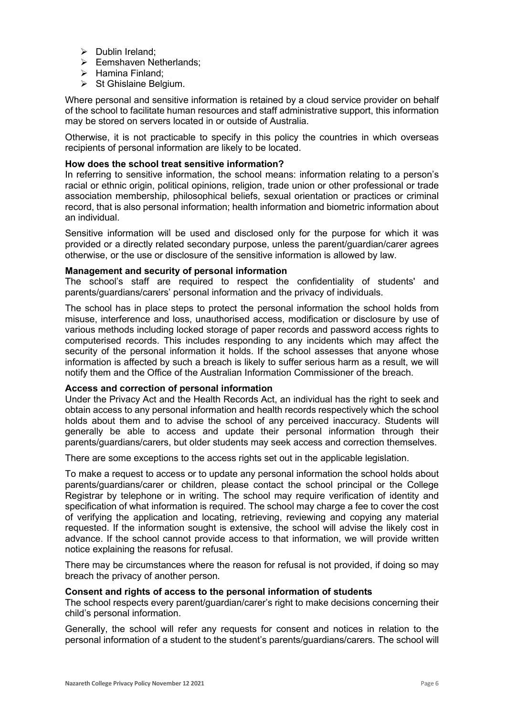- $\triangleright$  Dublin Ireland:
- $\triangleright$  Eemshaven Netherlands:
- $\triangleright$  Hamina Finland:
- $\triangleright$  St Ghislaine Belgium.

Where personal and sensitive information is retained by a cloud service provider on behalf of the school to facilitate human resources and staff administrative support, this information may be stored on servers located in or outside of Australia.

Otherwise, it is not practicable to specify in this policy the countries in which overseas recipients of personal information are likely to be located.

## **How does the school treat sensitive information?**

In referring to sensitive information, the school means: information relating to a person's racial or ethnic origin, political opinions, religion, trade union or other professional or trade association membership, philosophical beliefs, sexual orientation or practices or criminal record, that is also personal information; health information and biometric information about an individual.

Sensitive information will be used and disclosed only for the purpose for which it was provided or a directly related secondary purpose, unless the parent/guardian/carer agrees otherwise, or the use or disclosure of the sensitive information is allowed by law.

#### **Management and security of personal information**

The school's staff are required to respect the confidentiality of students' and parents/guardians/carers' personal information and the privacy of individuals.

The school has in place steps to protect the personal information the school holds from misuse, interference and loss, unauthorised access, modification or disclosure by use of various methods including locked storage of paper records and password access rights to computerised records. This includes responding to any incidents which may affect the security of the personal information it holds. If the school assesses that anyone whose information is affected by such a breach is likely to suffer serious harm as a result, we will notify them and the Office of the Australian Information Commissioner of the breach.

#### **Access and correction of personal information**

Under the Privacy Act and the Health Records Act, an individual has the right to seek and obtain access to any personal information and health records respectively which the school holds about them and to advise the school of any perceived inaccuracy. Students will generally be able to access and update their personal information through their parents/guardians/carers, but older students may seek access and correction themselves.

There are some exceptions to the access rights set out in the applicable legislation.

To make a request to access or to update any personal information the school holds about parents/guardians/carer or children, please contact the school principal or the College Registrar by telephone or in writing. The school may require verification of identity and specification of what information is required. The school may charge a fee to cover the cost of verifying the application and locating, retrieving, reviewing and copying any material requested. If the information sought is extensive, the school will advise the likely cost in advance. If the school cannot provide access to that information, we will provide written notice explaining the reasons for refusal.

There may be circumstances where the reason for refusal is not provided, if doing so may breach the privacy of another person.

#### **Consent and rights of access to the personal information of students**

The school respects every parent/guardian/carer's right to make decisions concerning their child's personal information.

Generally, the school will refer any requests for consent and notices in relation to the personal information of a student to the student's parents/guardians/carers. The school will